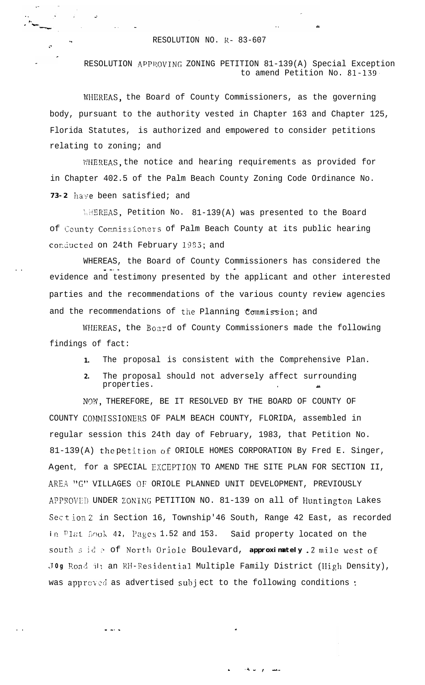## RESOLUTION NO. R- 83-607

<sup>i</sup>'

. .

RESOLUTION APPROVING ZONING PETITION 81-139(A) Special Exception to amend Petition No. 81-139,

WHEREAS, the Board of County Commissioners, as the governing body, pursuant to the authority vested in Chapter 163 and Chapter 125, Florida Statutes, is authorized and empowered to consider petitions relating to zoning; and

**iWEREAS,** the notice and hearing requirements as provided for in Chapter 402.5 of the Palm Beach County Zoning Code Ordinance No. 73-2 have been satisfied; and

**WHEREAS, Petition No. 81-139(A) was presented to the Board** of County Commissioners of Palm Beach County at its public hearing conducted on 24th February 1983; and

WHEREAS, the Board of County Commissioners has considered the - -. \_ 1 evidence and testimony presented by the applicant and other interested parties and the recommendations of the various county review agencies and the recommendations of the Planning  $Commission;$  and

WHEREAS, the Board of County Commissioners made the following findings of fact:

- **1.** The proposal is consistent with the Comprehensive Plan.
- **2.** The proposal should not adversely affect surrounding properties.

N'W, THEREFORE, BE IT RESOLVED BY THE BOARD OF COUNTY OF COUNTY COMIGSSIONERS OF PALM BEACH COUNTY, FLORIDA, assembled in regular session this 24th day of February, 1983, that Petition No. 81-139(A) the petition of ORIOLE HOMES CORPORATION By Fred E. Singer, Agent, for a SPECIAL EXCEPTION TO AMEND THE SITE PLAN FOR SECTION II, AREA "G" VILLAGES OF ORIOLE PLANNED UNIT DEVELOPMENT, PREVIOUSLY APPROVIII UNDER ZONING PETITION NO. 81-139 on all of Huntington Lakes Section 2 in Section 16, Township'46 South, Range 42 East, as recorded **in Plat Book 42, Pages 1.52 and 153. Said property located on the** south side of North Oriole Boulevard, **approximately** .2 mile west of **Jog** Road in an RH-Residential Multiple Family District (High Density), was approved as advertised subject to the following conditions :

المصدر أو التاري<del>د.</del>

. . - -. - \*